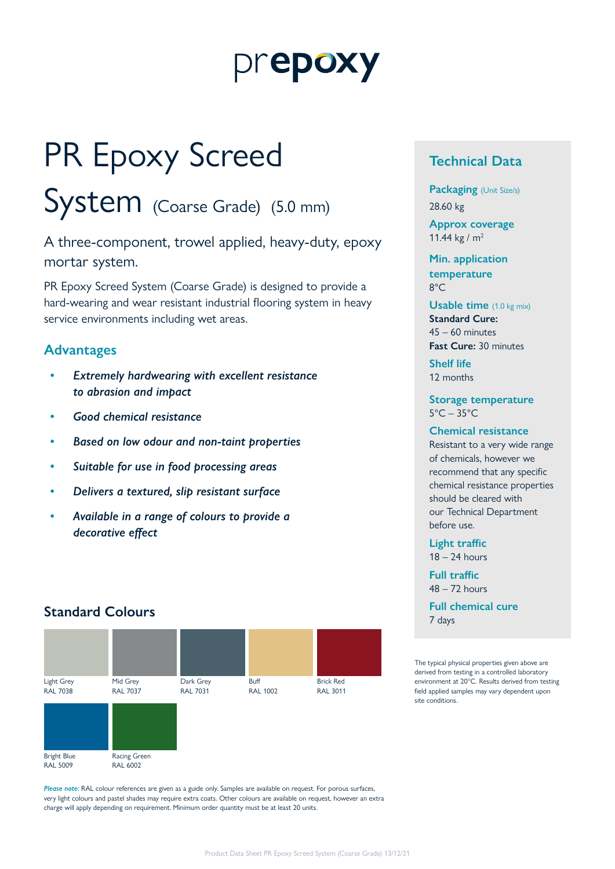# prepoxy

# PR Epoxy Screed

System (Coarse Grade) (5.0 mm)

A three-component, trowel applied, heavy-duty, epoxy mortar system.

PR Epoxy Screed System (Coarse Grade) is designed to provide a hard-wearing and wear resistant industrial flooring system in heavy service environments including wet areas.

### **Advantages**

- *• Extremely hardwearing with excellent resistance to abrasion and impact*
- *• Good chemical resistance*
- *• Based on low odour and non-taint properties*
- *• Suitable for use in food processing areas*
- *• Delivers a textured, slip resistant surface*
- *• Available in a range of colours to provide a decorative effect*

## **Standard Colours**



*Please note:* RAL colour references are given as a guide only. Samples are available on request. For porous surfaces, very light colours and pastel shades may require extra coats. Other colours are available on request, however an extra charge will apply depending on requirement. Minimum order quantity must be at least 20 units.

# **Technical Data**

**Packaging** (Unit Size/s) 28.60 kg

**Approx coverage** 11.44 kg /  $m<sup>2</sup>$ 

**Min. application temperature** 8°C

**Usable time** (1.0 kg mix) **Standard Cure:** 45 – 60 minutes **Fast Cure:** 30 minutes

**Shelf life** 12 months

#### **Storage temperature** 5°C – 35°C

#### **Chemical resistance**

Resistant to a very wide range of chemicals, however we recommend that any specific chemical resistance properties should be cleared with our Technical Department before use.

**Light traffic** 18 – 24 hours

**Full traffic** 48 – 72 hours

**Full chemical cure** 7 days

The typical physical properties given above are derived from testing in a controlled laboratory environment at 20°C. Results derived from testing field applied samples may vary dependent upon site conditions.